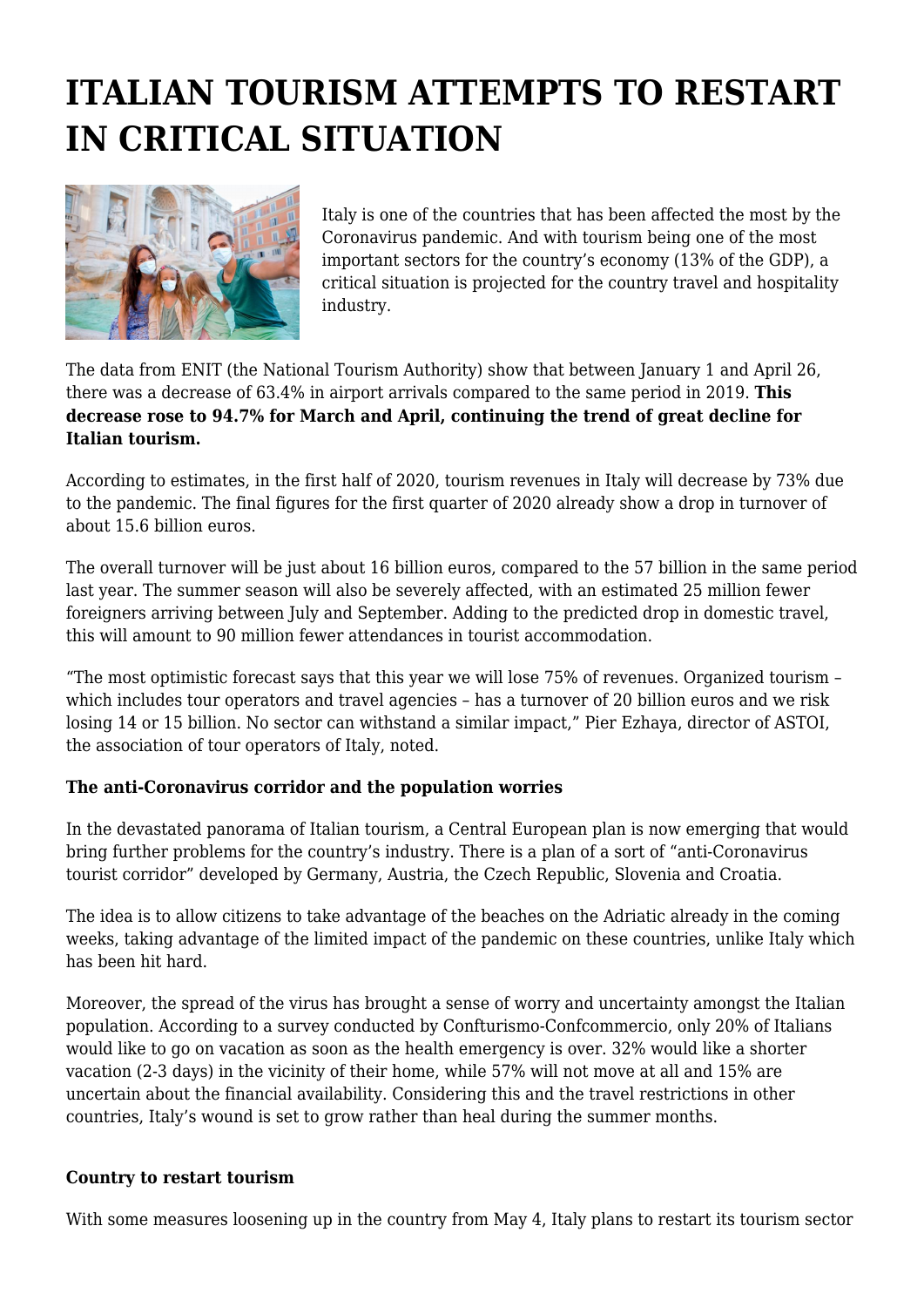## **ITALIAN TOURISM ATTEMPTS TO RESTART IN CRITICAL SITUATION**



Italy is one of the countries that has been affected the most by the Coronavirus pandemic. And with tourism being one of the most important sectors for the country's economy (13% of the GDP), a critical situation is projected for the country travel and hospitality industry.

The data from ENIT (the National Tourism Authority) show that between January 1 and April 26, there was a decrease of 63.4% in airport arrivals compared to the same period in 2019. **This decrease rose to 94.7% for March and April, continuing the trend of great decline for Italian tourism.**

According to estimates, in the first half of 2020, tourism revenues in Italy will decrease by 73% due to the pandemic. The final figures for the first quarter of 2020 already show a drop in turnover of about 15.6 billion euros.

The overall turnover will be just about 16 billion euros, compared to the 57 billion in the same period last year. The summer season will also be severely affected, with an estimated 25 million fewer foreigners arriving between July and September. Adding to the predicted drop in domestic travel, this will amount to 90 million fewer attendances in tourist accommodation.

"The most optimistic forecast says that this year we will lose 75% of revenues. Organized tourism – which includes tour operators and travel agencies – has a turnover of 20 billion euros and we risk losing 14 or 15 billion. No sector can withstand a similar impact," Pier Ezhaya, director of ASTOI, the association of tour operators of Italy, noted.

## **The anti-Coronavirus corridor and the population worries**

In the devastated panorama of Italian tourism, a Central European plan is now emerging that would bring further problems for the country's industry. There is a plan of a sort of "anti-Coronavirus tourist corridor" developed by Germany, Austria, the Czech Republic, Slovenia and Croatia.

The idea is to allow citizens to take advantage of the beaches on the Adriatic already in the coming weeks, taking advantage of the limited impact of the pandemic on these countries, unlike Italy which has been hit hard.

Moreover, the spread of the virus has brought a sense of worry and uncertainty amongst the Italian population. According to a survey conducted by Confturismo-Confcommercio, only 20% of Italians would like to go on vacation as soon as the health emergency is over. 32% would like a shorter vacation (2-3 days) in the vicinity of their home, while 57% will not move at all and 15% are uncertain about the financial availability. Considering this and the travel restrictions in other countries, Italy's wound is set to grow rather than heal during the summer months.

## **Country to restart tourism**

With some measures loosening up in the country from May 4, Italy plans to restart its tourism sector